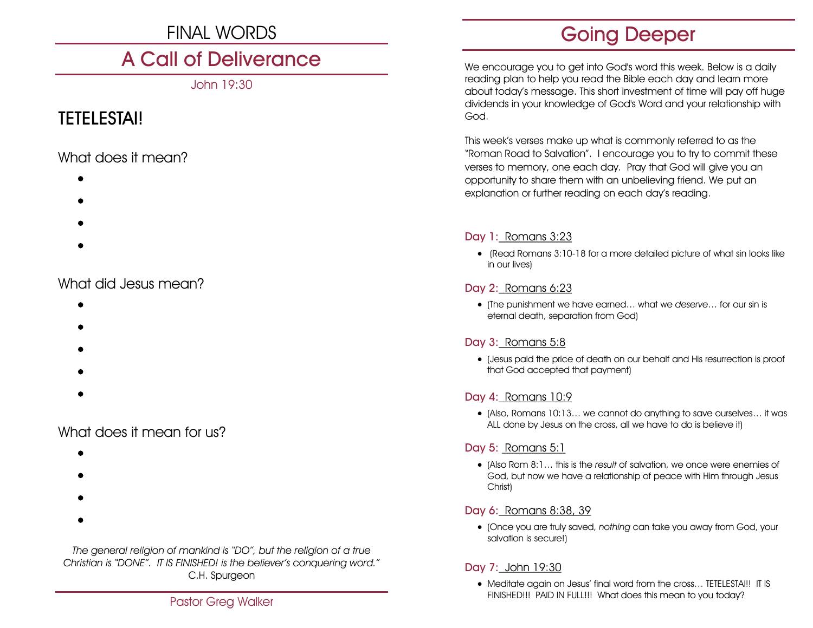# FINAL WORDS

# A Call of Deliverance

John 19:30

# TETELESTAI!

# What does it mean?

- $\bullet$
- $\bullet$
- $\bullet$
- $\bullet$

# What did Jesus mean?

- $\bullet$
- $\bullet$
- $\bullet$
- $\bullet$
- $\bullet$

# What does it mean for us?

- $\bullet$
- $\bullet$
- 
- $\bullet$
- $\bullet$

*The general religion of mankind is "DO", but the religion of a true Christian is "DONE". IT IS FINISHED! is the believer's conquering word."* C.H. Spurgeon

# Going Deeper

We encourage you to get into God's word this week. Below is a daily reading plan to help you read the Bible each day and learn more about today's message. This short investment of time will pay off huge dividends in your knowledge of God's Word and your relationship with God.

This week's verses make up what is commonly referred to as the "Roman Road to Salvation". I encourage you to try to commit these verses to memory, one each day. Pray that God will give you an opportunity to share them with an unbelieving friend. We put an explanation or further reading on each day's reading.

# Day 1: Romans 3:23

• (Read Romans 3:10-18 for a more detailed picture of what sin looks like in our lives)

## Day 2: Romans 6:23

• (The punishment we have earned… what we *deserve*… for our sin is eternal death, separation from God)

# Day 3: Romans 5:8

• (Jesus paid the price of death on our behalf and His resurrection is proof that God accepted that payment)

## Day 4: Romans 10:9

• (Also, Romans 10:13… we cannot do anything to save ourselves… it was ALL done by Jesus on the cross, all we have to do is believe it)

## Day 5: Romans 5:1

• (Also Rom 8:1… this is the *result* of salvation, we once were enemies of God, but now we have a relationship of peace with Him through Jesus Christ)

## Day 6: Romans 8:38, 39

• (Once you are truly saved, *nothing* can take you away from God, your salvation is secure!)

# Day 7: John 19:30

• Meditate again on Jesus' final word from the cross… TETELESTAI!! IT IS FINISHED!!! PAID IN FULL!!! What does this mean to you today?<br>Pastor Greg Walker